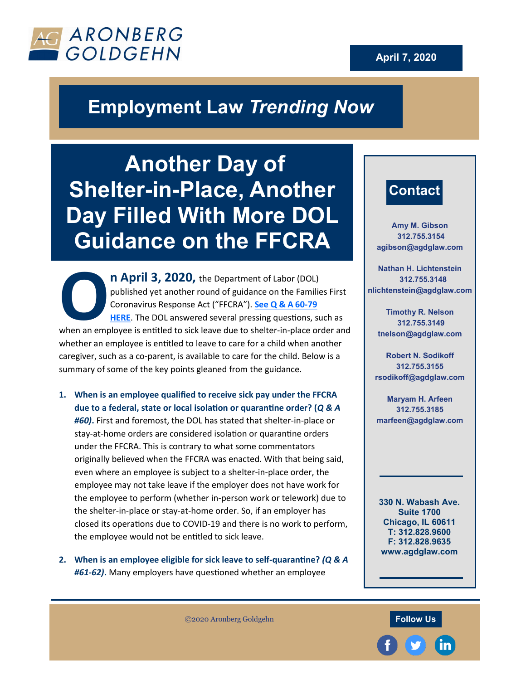



## **Employment Law** *Trending Now*

**Another Day of Shelter-in-Place, Another Day Filled With More DOL Guidance on the FFCRA**

**OCE ALLERGE 19 SEAL ASSEM SCHOOL SUBLEMENT AND THE CORONAVITY OF SEARCH THE CORONAVITY OF SHELF CRAPS. See Q & A 60-79 HERE. The DOL answered several pressing questions, such as when an employee is entitled to sick leave n April 3, 2020, the Department of Labor (DOL)** published yet another round of guidance on the Families First Coronavirus Response Act ("FFCRA"). **[See Q & A 60](https://www.dol.gov/agencies/whd/pandemic/ffcra-questions)-79 [HERE](https://www.dol.gov/agencies/whd/pandemic/ffcra-questions)**. The DOL answered several pressing questions, such as whether an employee is entitled to leave to care for a child when another caregiver, such as a co-parent, is available to care for the child. Below is a summary of some of the key points gleaned from the guidance.

- **1. When is an employee qualified to receive sick pay under the FFCRA due to a federal, state or local isolation or quarantine order? (***Q & A #60)***.** First and foremost, the DOL has stated that shelter-in-place or stay-at-home orders are considered isolation or quarantine orders under the FFCRA. This is contrary to what some commentators originally believed when the FFCRA was enacted. With that being said, even where an employee is subject to a shelter-in-place order, the employee may not take leave if the employer does not have work for the employee to perform (whether in-person work or telework) due to the shelter-in-place or stay-at-home order. So, if an employer has closed its operations due to COVID-19 and there is no work to perform, the employee would not be entitled to sick leave.
- **2. When is an employee eligible for sick leave to self-quarantine?** *(Q & A #61-62)***.** Many employers have questioned whether an employee

## **Contact**

**Amy M. Gibson 312.755.3154 agibson@agdglaw.com**

**Nathan H. Lichtenstein 312.755.3148 nlichtenstein***@***agdglaw.com**

**Timothy R. Nelson 312.755.3149 tnelson***@***agdglaw.com**

**Robert N. Sodikoff 312.755.3155 rsodikoff@agdglaw.com**

**Maryam H. Arfeen 312.755.3185 marfeen@agdglaw.com**

**330 N. Wabash Ave. Suite 1700 Chicago, IL 60611 T: 312.828.9600 F: 312.828.9635 www.agdglaw.com**

*©*2020 Aronberg Goldgehn **Follow Us**

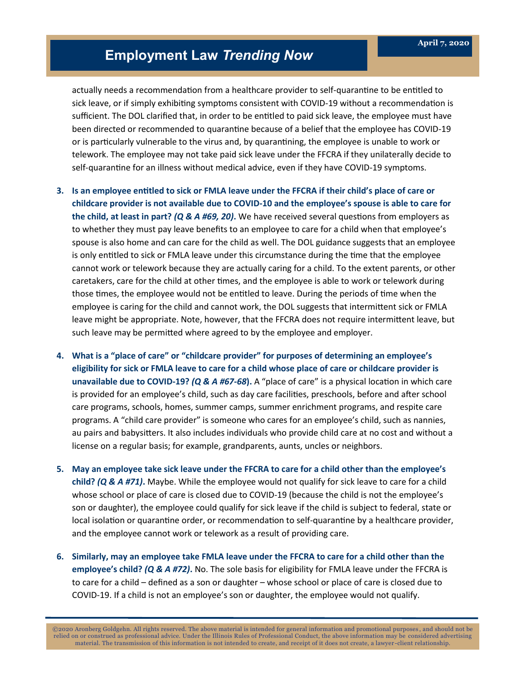## **Employment Law** *Trending Now*

actually needs a recommendation from a healthcare provider to self-quarantine to be entitled to sick leave, or if simply exhibiting symptoms consistent with COVID-19 without a recommendation is sufficient. The DOL clarified that, in order to be entitled to paid sick leave, the employee must have been directed or recommended to quarantine because of a belief that the employee has COVID-19 or is particularly vulnerable to the virus and, by quarantining, the employee is unable to work or telework. The employee may not take paid sick leave under the FFCRA if they unilaterally decide to self-quarantine for an illness without medical advice, even if they have COVID-19 symptoms.

- **3. Is an employee entitled to sick or FMLA leave under the FFCRA if their child's place of care or childcare provider is not available due to COVID-10 and the employee's spouse is able to care for the child, at least in part?** *(Q & A #69, 20)***.** We have received several questions from employers as to whether they must pay leave benefits to an employee to care for a child when that employee's spouse is also home and can care for the child as well. The DOL guidance suggests that an employee is only entitled to sick or FMLA leave under this circumstance during the time that the employee cannot work or telework because they are actually caring for a child. To the extent parents, or other caretakers, care for the child at other times, and the employee is able to work or telework during those times, the employee would not be entitled to leave. During the periods of time when the employee is caring for the child and cannot work, the DOL suggests that intermittent sick or FMLA leave might be appropriate. Note, however, that the FFCRA does not require intermittent leave, but such leave may be permitted where agreed to by the employee and employer.
- **4. What is a "place of care" or "childcare provider" for purposes of determining an employee's eligibility for sick or FMLA leave to care for a child whose place of care or childcare provider is unavailable due to COVID-19?** *(Q & A #67-68***).** A "place of care" is a physical location in which care is provided for an employee's child, such as day care facilities, preschools, before and after school care programs, schools, homes, summer camps, summer enrichment programs, and respite care programs. A "child care provider" is someone who cares for an employee's child, such as nannies, au pairs and babysitters. It also includes individuals who provide child care at no cost and without a license on a regular basis; for example, grandparents, aunts, uncles or neighbors.
- **5. May an employee take sick leave under the FFCRA to care for a child other than the employee's child?** *(Q & A #71)***.** Maybe. While the employee would not qualify for sick leave to care for a child whose school or place of care is closed due to COVID-19 (because the child is not the employee's son or daughter), the employee could qualify for sick leave if the child is subject to federal, state or local isolation or quarantine order, or recommendation to self-quarantine by a healthcare provider, and the employee cannot work or telework as a result of providing care.
- **6. Similarly, may an employee take FMLA leave under the FFCRA to care for a child other than the employee's child?** *(Q & A #72)***.** No. The sole basis for eligibility for FMLA leave under the FFCRA is to care for a child – defined as a son or daughter – whose school or place of care is closed due to COVID-19. If a child is not an employee's son or daughter, the employee would not qualify.

©2020 Aronberg Goldgehn. All rights reserved. The above material is intended for general information and promotional purposes , and should not be relied on or construed as professional advice. Under the Illinois Rules of Professional Conduct, the above information may be considered advertising material. The transmission of this information is not intended to create, and receipt of it does not create, a lawyer -client relationship.